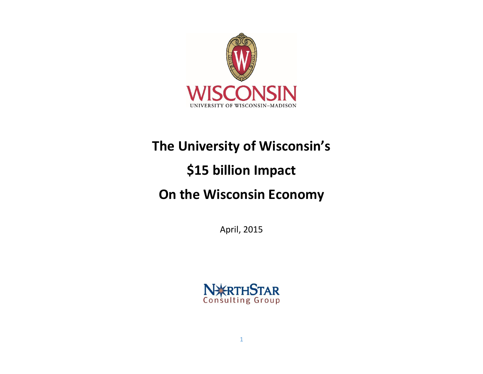

# **The University of Wisconsin's**

# **\$15 billion Impact**

## **On the Wisconsin Economy**

April, 2015

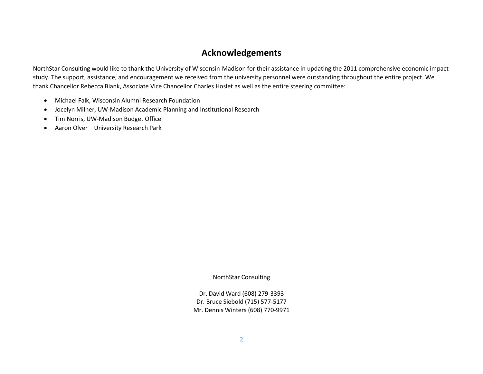#### **Acknowledgements**

NorthStar Consulting would like to thank the University of Wisconsin-Madison for their assistance in updating the 2011 comprehensive economic impact study. The support, assistance, and encouragement we received from the university personnel were outstanding throughout the entire project. We thank Chancellor Rebecca Blank, Associate Vice Chancellor Charles Hoslet as well as the entire steering committee:

- Michael Falk, Wisconsin Alumni Research Foundation
- Jocelyn Milner, UW-Madison Academic Planning and Institutional Research
- Tim Norris, UW-Madison Budget Office
- Aaron Olver University Research Park

NorthStar Consulting

Dr. David Ward (608) 279-3393 Dr. Bruce Siebold (715) 577-5177 Mr. Dennis Winters (608) 770-9971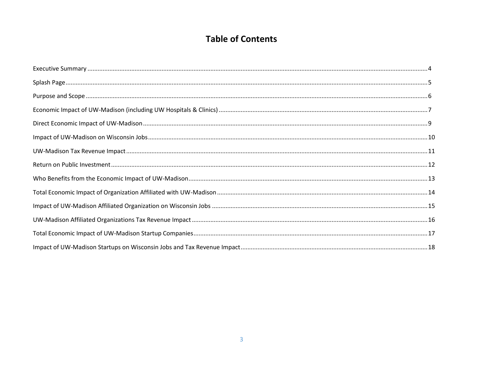### **Table of Contents**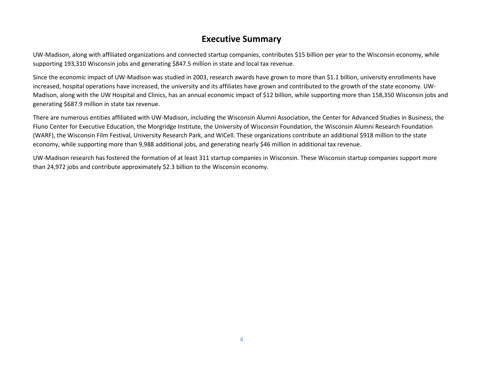### **Executive Summary**

UW-Madison, along with affiliated organizations and connected startup companies, contributes \$15 billion per year to the Wisconsin economy, while supporting 193,310 Wisconsin jobs and generating \$847.5 million in state and local tax revenue.

Since the economic impact of UW-Madison was studied in 2003, research awards have grown to more than \$1.1 billion, university enrollments have increased, hospital operations have increased, the university and its affiliates have grown and contributed to the growth of the state economy. UW-Madison, along with the UW Hospital and Clinics, has an annual economic impact of \$12 billion, while supporting more than 158,350 Wisconsin jobs and generating \$687.9 million in state tax revenue.

There are numerous entities affiliated with UW-Madison, including the Wisconsin Alumni Association, the Center for Advanced Studies in Business, the Fluno Center for Executive Education, the Morgridge Institute, the University of Wisconsin Foundation, the Wisconsin Alumni Research Foundation (WARF), the Wisconsin Film Festival, University Research Park, and WiCell. These organizations contribute an additional \$918 million to the state economy, while supporting more than 9,988 additional jobs, and generating nearly \$46 million in additional tax revenue.

UW-Madison research has fostered the formation of at least 311 startup companies in Wisconsin. These Wisconsin startup companies support more than 24,972 jobs and contribute approximately \$2.3 billion to the Wisconsin economy.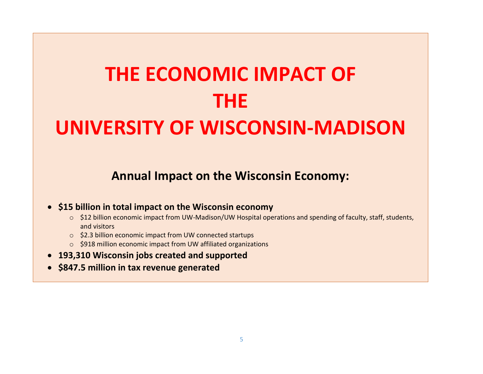# **THE ECONOMIC IMPACT OF THE UNIVERSITY OF WISCONSIN-MADISON**

**Annual Impact on the Wisconsin Economy:**

#### **\$15 billion in total impact on the Wisconsin economy**

- o \$12 billion economic impact from UW-Madison/UW Hospital operations and spending of faculty, staff, students, and visitors
- o \$2.3 billion economic impact from UW connected startups
- o \$918 million economic impact from UW affiliated organizations
- **193,310 Wisconsin jobs created and supported**
- **\$847.5 million in tax revenue generated**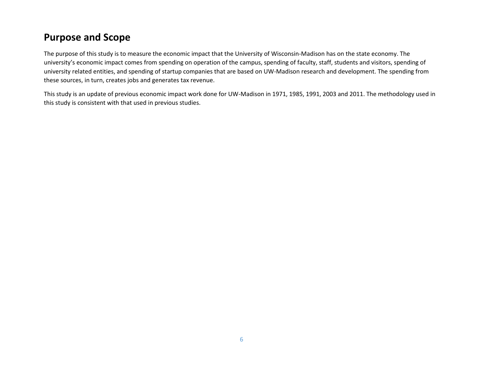### **Purpose and Scope**

The purpose of this study is to measure the economic impact that the University of Wisconsin-Madison has on the state economy. The university's economic impact comes from spending on operation of the campus, spending of faculty, staff, students and visitors, spending of university related entities, and spending of startup companies that are based on UW-Madison research and development. The spending from these sources, in turn, creates jobs and generates tax revenue.

This study is an update of previous economic impact work done for UW-Madison in 1971, 1985, 1991, 2003 and 2011. The methodology used in this study is consistent with that used in previous studies.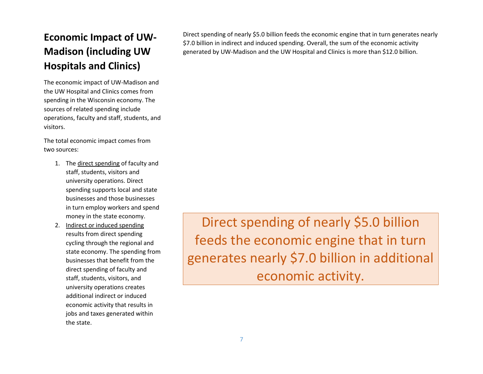### **Economic Impact of UW-Madison (including UW Hospitals and Clinics)**

The economic impact of UW-Madison and the UW Hospital and Clinics comes from spending in the Wisconsin economy. The sources of related spending include operations, faculty and staff, students, and visitors.

The total economic impact comes from two sources:

- 1. The direct spending of faculty and staff, students, visitors and university operations. Direct spending supports local and state businesses and those businesses in turn employ workers and spend money in the state economy.
- 2. Indirect or induced spending results from direct spending cycling through the regional and state economy. The spending from businesses that benefit from the direct spending of faculty and staff, students, visitors, and university operations creates additional indirect or induced economic activity that results in jobs and taxes generated within the state.

Direct spending of nearly \$5.0 billion feeds the economic engine that in turn generates nearly \$7.0 billion in indirect and induced spending. Overall, the sum of the economic activity generated by UW-Madison and the UW Hospital and Clinics is more than \$12.0 billion.

Direct spending of nearly \$5.0 billion feeds the economic engine that in turn generates nearly \$7.0 billion in additional economic activity.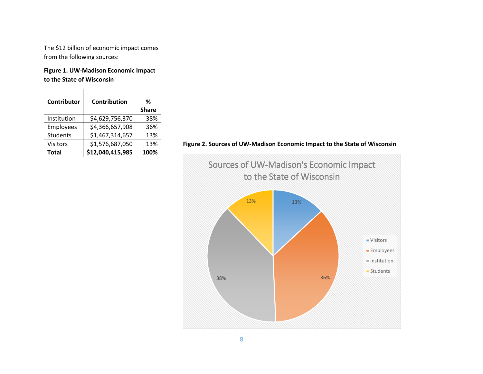The \$12 billion of economic impact comes from the following sources:

**Figure 1. UW-Madison Economic Impact to the State of Wisconsin**

| <b>Contributor</b> | Contribution     | ℅<br><b>Share</b> |
|--------------------|------------------|-------------------|
| Institution        | \$4,629,756,370  | 38%               |
| Employees          | \$4,366,657,908  | 36%               |
| <b>Students</b>    | \$1,467,314,657  | 13%               |
| <b>Visitors</b>    | \$1,576,687,050  | 13%               |
| <b>Total</b>       | \$12,040,415,985 | 100%              |

**Figure 2. Sources of UW-Madison Economic Impact to the State of Wisconsin**

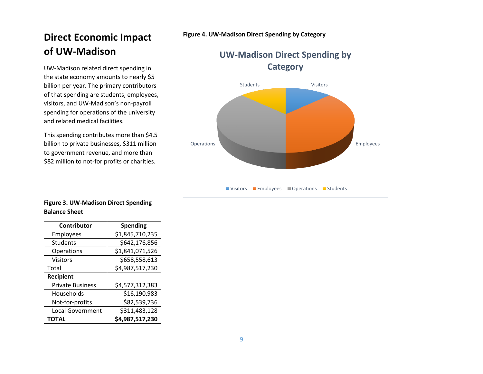### **Direct Economic Impact of UW-Madison**

UW-Madison related direct spending in the state economy amounts to nearly \$5 billion per year. The primary contributors of that spending are students, employees, visitors, and UW-Madison's non-payroll spending for operations of the university and related medical facilities.

This spending contributes more than \$4.5 billion to private businesses, \$311 million to government revenue, and more than \$82 million to not-for profits or charities.

**Figure 4. UW-Madison Direct Spending by Category**



**Figure 3. UW-Madison Direct Spending Balance Sheet**

| Contributor             | <b>Spending</b> |
|-------------------------|-----------------|
| Employees               | \$1,845,710,235 |
| <b>Students</b>         | \$642,176,856   |
| Operations              | \$1,841,071,526 |
| <b>Visitors</b>         | \$658,558,613   |
| Total                   | \$4,987,517,230 |
| <b>Recipient</b>        |                 |
| <b>Private Business</b> | \$4,577,312,383 |
| Households              | \$16,190,983    |
| Not-for-profits         | \$82,539,736    |
| <b>Local Government</b> | \$311,483,128   |
| <b>TOTAL</b>            | \$4,987,517,230 |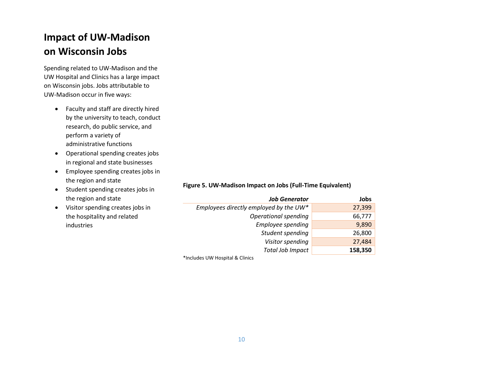### **Impact of UW-Madison on Wisconsin Jobs**

Spending related to UW-Madison and the UW Hospital and Clinics has a large impact on Wisconsin jobs. Jobs attributable to UW-Madison occur in five ways:

- Faculty and staff are directly hired by the university to teach, conduct research, do public service, and perform a variety of administrative functions
- Operational spending creates jobs in regional and state businesses
- Employee spending creates jobs in the region and state
- Student spending creates jobs in the region and state
- Visitor spending creates jobs in the hospitality and related industries

#### **Figure 5. UW-Madison Impact on Jobs (Full-Time Equivalent)**

| <b>Job Generator</b>                   | Jobs    |
|----------------------------------------|---------|
| Employees directly employed by the UW* | 27,399  |
| Operational spending                   | 66,777  |
| Employee spending                      | 9,890   |
| Student spending                       | 26,800  |
| Visitor spending                       | 27,484  |
| <b>Total Job Impact</b>                | 158,350 |

\*Includes UW Hospital & Clinics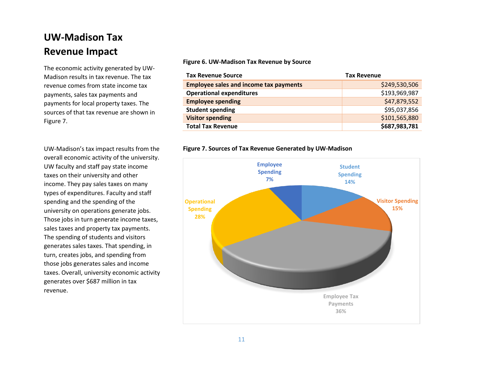### **UW-Madison Tax Revenue Impact**

The economic activity generated by UW-Madison results in tax revenue. The tax revenue comes from state income tax payments, sales tax payments and payments for local property taxes. The sources of that tax revenue are shown in Figure 7.

UW-Madison's tax impact results from the overall economic activity of the university. UW faculty and staff pay state income taxes on their university and other income. They pay sales taxes on many types of expenditures. Faculty and staff spending and the spending of the university on operations generate jobs. Those jobs in turn generate income taxes, sales taxes and property tax payments. The spending of students and visitors generates sales taxes. That spending, in turn, creates jobs, and spending from those jobs generates sales and income taxes. Overall, university economic activity generates over \$687 million in tax revenue.

#### **Figure 6. UW-Madison Tax Revenue by Source**

| <b>Tax Revenue Source</b>                     | <b>Tax Revenue</b> |
|-----------------------------------------------|--------------------|
| <b>Employee sales and income tax payments</b> | \$249,530,506      |
| <b>Operational expenditures</b>               | \$193,969,987      |
| <b>Employee spending</b>                      | \$47,879,552       |
| <b>Student spending</b>                       | \$95,037,856       |
| <b>Visitor spending</b>                       | \$101,565,880      |
| <b>Total Tax Revenue</b>                      | \$687,983,781      |

#### **Figure 7. Sources of Tax Revenue Generated by UW-Madison**

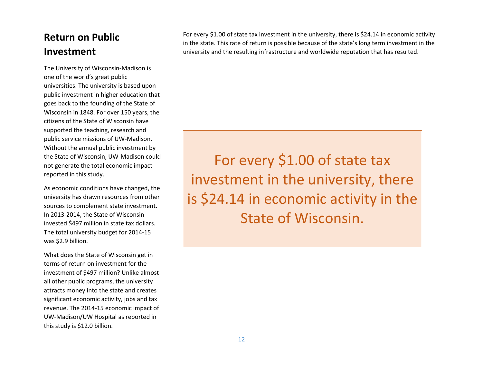### **Return on Public Investment**

The University of Wisconsin-Madison is one of the world's great public universities. The university is based upon public investment in higher education that goes back to the founding of the State of Wisconsin in 1848. For over 150 years, the citizens of the State of Wisconsin have supported the teaching, research and public service missions of UW-Madison. Without the annual public investment by the State of Wisconsin, UW-Madison could not generate the total economic impact reported in this study.

As economic conditions have changed, the university has drawn resources from other sources to complement state investment. In 2013-2014, the State of Wisconsin invested \$497 million in state tax dollars. The total university budget for 2014-15 was \$2.9 billion.

What does the State of Wisconsin get in terms of return on investment for the investment of \$497 million? Unlike almost all other public programs, the university attracts money into the state and creates significant economic activity, jobs and tax revenue. The 2014-15 economic impact of UW-Madison/UW Hospital as reported in this study is \$12.0 billion.

For every \$1.00 of state tax investment in the university, there is \$24.14 in economic activity in the state. This rate of return is possible because of the state's long term investment in the university and the resulting infrastructure and worldwide reputation that has resulted.

For every \$1.00 of state tax investment in the university, there is \$24.14 in economic activity in the State of Wisconsin.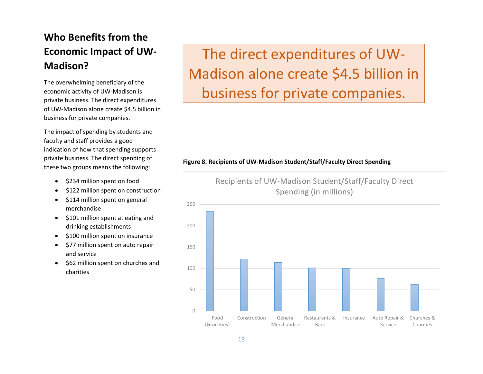### **Who Benefits from the Economic Impact of UW-Madison?**

The overwhelming beneficiary of the economic activity of UW-Madison is private business. The direct expenditures of UW-Madison alone create \$4.5 billion in business for private companies.

The impact of spending by students and faculty and staff provides a good indication of how that spending supports private business. The direct spending of these two groups means the following:

- \$234 million spent on food
- \$122 million spent on construction
- \$114 million spent on general merchandise
- \$101 million spent at eating and drinking establishments
- \$100 million spent on insurance
- \$77 million spent on auto repair and service
- \$62 million spent on churches and charities

The direct expenditures of UW-Madison alone create \$4.5 billion in business for private companies.

#### **Figure 8. Recipients of UW-Madison Student/Staff/Faculty Direct Spending**

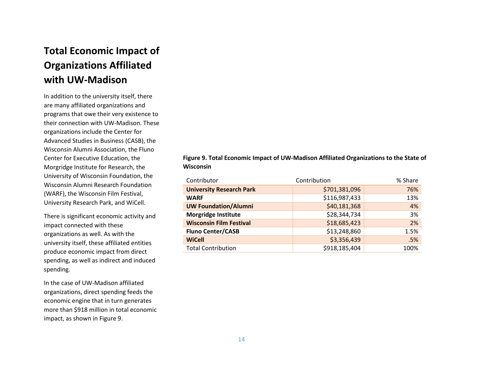### **Total Economic Impact of Organizations Affiliated with UW-Madison**

In addition to the university itself, there are many affiliated organizations and programs that owe their very existence to their connection with UW-Madison. These organizations include the Center for Advanced Studies in Business (CASB), the Wisconsin Alumni Association, the Fluno Center for Executive Education, the Morgridge Institute for Research, the University of Wisconsin Foundation, the Wisconsin Alumni Research Foundation (WARF), the Wisconsin Film Festival, University Research Park, and WiCell.

There is significant economic activity and impact connected with these organizations as well. As with the university itself, these affiliated entities produce economic impact from direct spending, as well as indirect and induced spending.

In the case of UW-Madison affiliated organizations, direct spending feeds the economic engine that in turn generates more than \$918 million in total economic impact, as shown in Figure 9.

**Figure 9. Total Economic Impact of UW-Madison Affiliated Organizations to the State of Wisconsin**

| Contributor                     | Contribution  | % Share |
|---------------------------------|---------------|---------|
| <b>University Research Park</b> | \$701,381,096 | 76%     |
| <b>WARF</b>                     | \$116,987,433 | 13%     |
| <b>UW Foundation/Alumni</b>     | \$40,181,368  | 4%      |
| <b>Morgridge Institute</b>      | \$28,344,734  | 3%      |
| <b>Wisconsin Film Festival</b>  | \$18,685,423  | 2%      |
| <b>Fluno Center/CASB</b>        | \$13,248,860  | 1.5%    |
| <b>WiCell</b>                   | \$3,356,439   | .5%     |
| <b>Total Contribution</b>       | \$918,185,404 | 100%    |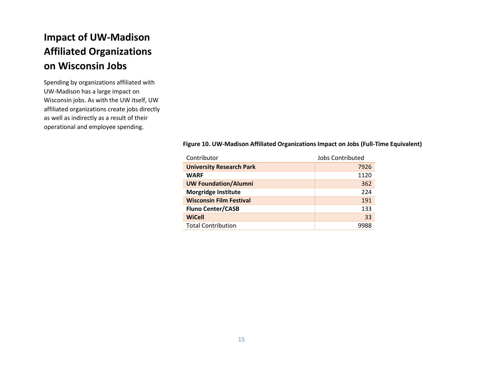### **Impact of UW-Madison Affiliated Organizations on Wisconsin Jobs**

Spending by organizations affiliated with UW-Madison has a large impact on Wisconsin jobs. As with the UW itself, UW affiliated organizations create jobs directly as well as indirectly as a result of their operational and employee spending.

#### **Figure 10. UW-Madison Affiliated Organizations Impact on Jobs (Full-Time Equivalent)**

| Contributor                     | <b>Jobs Contributed</b> |
|---------------------------------|-------------------------|
| <b>University Research Park</b> | 7926                    |
| <b>WARF</b>                     | 1120                    |
| <b>UW Foundation/Alumni</b>     | 362                     |
| <b>Morgridge Institute</b>      | 224                     |
| <b>Wisconsin Film Festival</b>  | 191                     |
| <b>Fluno Center/CASB</b>        | 133                     |
| <b>WiCell</b>                   | 33                      |
| <b>Total Contribution</b>       | 9988                    |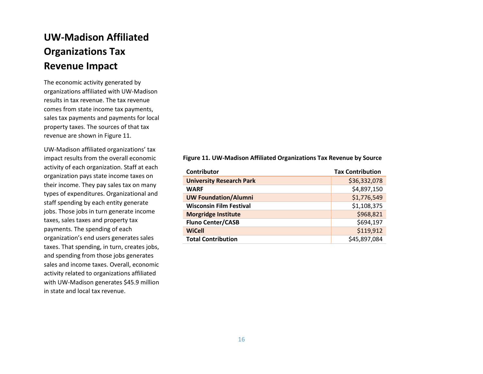### **UW-Madison Affiliated Organizations Tax Revenue Impact**

The economic activity generated by organizations affiliated with UW-Madison results in tax revenue. The tax revenue comes from state income tax payments, sales tax payments and payments for local property taxes. The sources of that tax revenue are shown in Figure 11.

UW-Madison affiliated organizations' tax impact results from the overall economic activity of each organization. Staff at each organization pays state income taxes on their income. They pay sales tax on many types of expenditures. Organizational and staff spending by each entity generate jobs. Those jobs in turn generate income taxes, sales taxes and property tax payments. The spending of each organization's end users generates sales taxes. That spending, in turn, creates jobs, and spending from those jobs generates sales and income taxes. Overall, economic activity related to organizations affiliated with UW-Madison generates \$45.9 million in state and local tax revenue.

#### **Figure 11. UW-Madison Affiliated Organizations Tax Revenue by Source**

| <b>Contributor</b>              | <b>Tax Contribution</b> |
|---------------------------------|-------------------------|
| <b>University Research Park</b> | \$36,332,078            |
| <b>WARF</b>                     | \$4,897,150             |
| <b>UW Foundation/Alumni</b>     | \$1,776,549             |
| <b>Wisconsin Film Festival</b>  | \$1,108,375             |
| <b>Morgridge Institute</b>      | \$968,821               |
| <b>Fluno Center/CASB</b>        | \$694,197               |
| <b>WiCell</b>                   | \$119,912               |
| <b>Total Contribution</b>       | \$45,897,084            |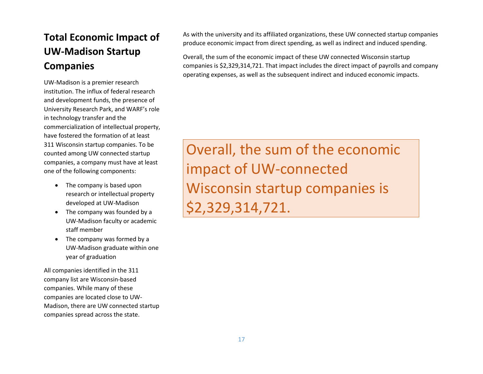### **Total Economic Impact of UW-Madison Startup Companies**

UW-Madison is a premier research institution. The influx of federal research and development funds, the presence of University Research Park, and WARF's role in technology transfer and the commercialization of intellectual property, have fostered the formation of at least 311 Wisconsin startup companies. To be counted among UW connected startup companies, a company must have at least one of the following components:

- The company is based upon research or intellectual property developed at UW-Madison
- The company was founded by a UW-Madison faculty or academic staff member
- The company was formed by a UW-Madison graduate within one year of graduation

All companies identified in the 311 company list are Wisconsin-based companies. While many of these companies are located close to UW-Madison, there are UW connected startup companies spread across the state.

As with the university and its affiliated organizations, these UW connected startup companies produce economic impact from direct spending, as well as indirect and induced spending.

Overall, the sum of the economic impact of these UW connected Wisconsin startup companies is \$2,329,314,721. That impact includes the direct impact of payrolls and company operating expenses, as well as the subsequent indirect and induced economic impacts.

Overall, the sum of the economic impact of UW-connected Wisconsin startup companies is \$2,329,314,721.